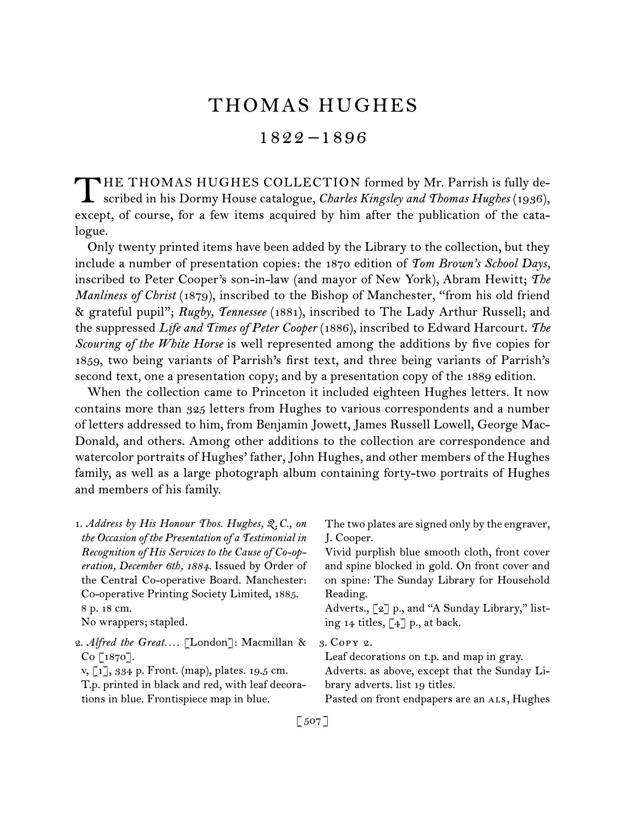# THOMAS HUGHES

## 1822 –1896

HE THOMAS HUGHES COLLECTION formed by Mr. Parrish is fully de-THE THOMAS HUGHES COLLECTION formed by Mr. Parrish is fully described in his Dormy House catalogue, *Charles Kingsley and Thomas Hughes* (1936), except, of course, for a few items acquired by him after the publication of the catalogue.

Only twenty printed items have been added by the Library to the collection, but they include a number of presentation copies: the 1870 edition of *Tom Brown's School Days,*  inscribed to Peter Cooper's son-in-law (and mayor of New York), Abram Hewitt; *The Manliness of Christ* (1879), inscribed to the Bishop of Manchester, "from his old friend & grateful pupil"; *Rugby, Tennessee* (1881), inscribed to The Lady Arthur Russell; and the suppressed *Life and Times of Peter Cooper* (1886), inscribed to Edward Harcourt. *The Scouring of the White Horse* is well represented among the additions by five copies for 1859, two being variants of Parrish's first text, and three being variants of Parrish's second text, one a presentation copy; and by a presentation copy of the 1889 edition.

When the collection came to Princeton it included eighteen Hughes letters. It now contains more than 325 letters from Hughes to various correspondents and a number of letters addressed to him, from Benjamin Jowett, James Russell Lowell, George Mac-Donald, and others. Among other additions to the collection are correspondence and watercolor portraits of Hughes' father, John Hughes, and other members of the Hughes family, as well as a large photograph album containing forty-two portraits of Hughes and members of his family.

| 1. Address by His Honour Thos. Hughes, Q.C., on              | The two plates are signed only by the engraver, |
|--------------------------------------------------------------|-------------------------------------------------|
| the Occasion of the Presentation of a Testimonial in         | J. Cooper.                                      |
| Recognition of His Services to the Cause of Co-op-           | Vivid purplish blue smooth cloth, front cover   |
| eration, December 6th, 1884. Issued by Order of              | and spine blocked in gold. On front cover and   |
| the Central Co-operative Board. Manchester:                  | on spine: The Sunday Library for Household      |
| Co-operative Printing Society Limited, 1885.                 | Reading.                                        |
| 8 p. 18 cm.                                                  | Adverts., [2] p., and "A Sunday Library," list- |
| No wrappers; stapled.                                        | ing 14 titles, $\lceil 4 \rceil$ p., at back.   |
| 2. Alfred the Great [London]: Macmillan &                    | 3. COPY 2.                                      |
| $Co$ [1870].                                                 | Leaf decorations on t.p. and map in gray.       |
| v, $\lceil 1 \rceil$ , 334 p. Front. (map), plates. 19.5 cm. | Adverts. as above, except that the Sunday Li-   |
| T.p. printed in black and red, with leaf decora-             | brary adverts. list 19 titles.                  |
| tions in blue. Frontispiece map in blue.                     | Pasted on front endpapers are an ALS, Hughes    |
|                                                              |                                                 |

[ 507 ]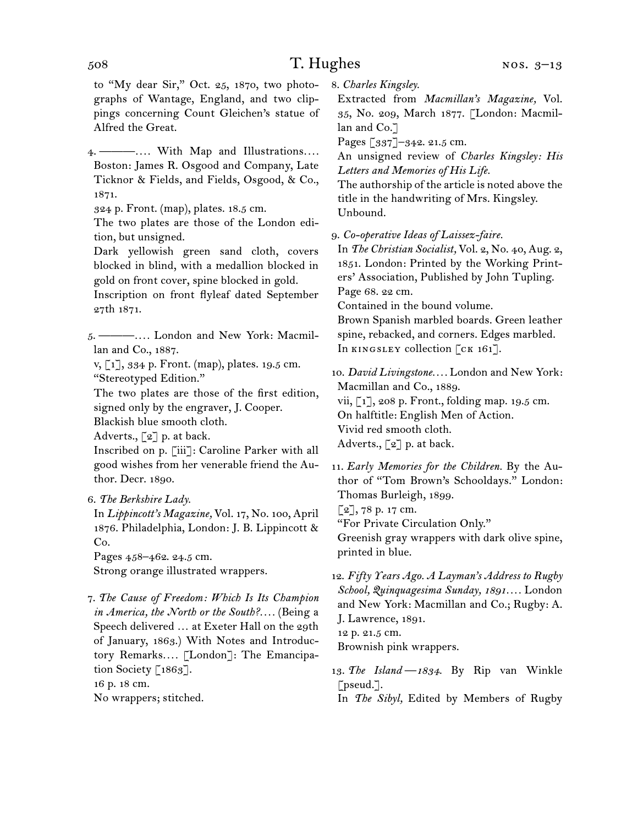to "My dear Sir," Oct. 25, 1870, two photographs of Wantage, England, and two clippings concerning Count Gleichen's statue of Alfred the Great.

4.  ———*. . . .* With Map and Illustrations*. . . .* Boston: James R. Osgood and Company, Late Ticknor & Fields, and Fields, Osgood, & Co., 1871.

324 p. Front. (map), plates. 18.5 cm.

The two plates are those of the London edition, but unsigned.

Dark yellowish green sand cloth, covers blocked in blind, with a medallion blocked in gold on front cover, spine blocked in gold.

Inscription on front flyleaf dated September 27th 1871.

5.  ———*. . . .* London and New York: Macmillan and Co., 1887.

v, [1], 334 p. Front. (map), plates. 19.5 cm. "Stereotyped Edition."

The two plates are those of the first edition, signed only by the engraver, J. Cooper. Blackish blue smooth cloth.

Adverts.,  $\lceil 2 \rceil$  p. at back.

Inscribed on p. [iii]: Caroline Parker with all good wishes from her venerable friend the Author. Decr. 1890.

6.  *The Berkshire Lady.*

In *Lippincott's Magazine,* Vol. 17, No. 100, April 1876. Philadelphia, London: J. B. Lippincott & Co.

Pages 458–462. 24.5 cm. Strong orange illustrated wrappers.

7.  *The Cause of Freedom: Which Is Its Champion in America, the North or the South?. . . .* (Being a Speech delivered … at Exeter Hall on the 29th of January, 1863.) With Notes and Introductory Remarks*. . . .* [London]: The Emancipation Society [1863]. 16 p. 18 cm. No wrappers; stitched.

8.  *Charles Kingsley.*

Extracted from *Macmillan's Magazine,* Vol. 35, No. 209, March 1877. [London: Macmillan and Co.<sup>7</sup>

Pages [337]–342. 21.5 cm.

An unsigned review of *Charles Kingsley: His Letters and Memories of His Life.*

The authorship of the article is noted above the title in the handwriting of Mrs. Kingsley. Unbound.

9.  *Co-operative Ideas of Laissez-faire.*

In *The Christian Socialist,* Vol. 2, No. 40, Aug. 2, 1851. London: Printed by the Working Printers' Association, Published by John Tupling. Page 68. 22 cm.

Contained in the bound volume.

Brown Spanish marbled boards. Green leather spine, rebacked, and corners. Edges marbled. In KINGSLEY collection [CK 161].

10.  *David Livingstone. . . .* London and New York: Macmillan and Co., 1889. vii, [1], 208 p. Front., folding map. 19.5 cm. On halftitle: English Men of Action. Vivid red smooth cloth. Adverts.,  $\lbrack 2 \rbrack$  p. at back.

11. *Early Memories for the Children.* By the Author of "Tom Brown's Schooldays." London: Thomas Burleigh, 1899.  $[2]$ , 78 p. 17 cm. "For Private Circulation Only."

Greenish gray wrappers with dark olive spine, printed in blue.

12.  *Fifty Years Ago. A Layman's Address to Rugby School, Quinquagesima Sunday, 1891. . . .* London and New York: Macmillan and Co.; Rugby: A. J. Lawrence, 1891.

12 p. 21.5 cm.

Brownish pink wrappers.

13.  *The Island —1834.* By Rip van Winkle  $[$ pseud. $]$ .

In *The Sibyl,* Edited by Members of Rugby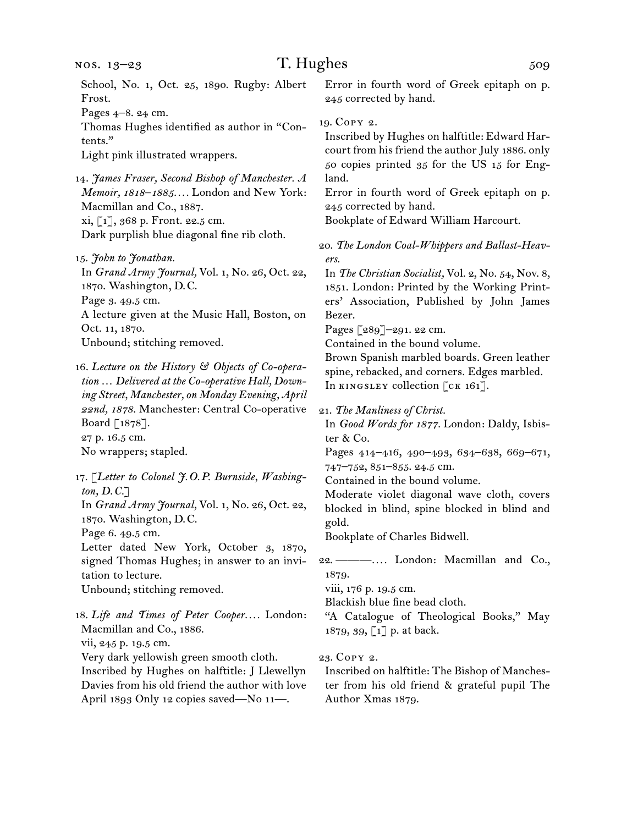Pages 4–8. 24 cm.

Thomas Hughes identified as author in "Contents."

Light pink illustrated wrappers.

14.  *James Fraser, Second Bishop of Manchester. A Memoir, 1818–1885. . . .* London and New York: Macmillan and Co., 1887. xi, [1], 368 p. Front. 22.5 cm. Dark purplish blue diagonal fine rib cloth.

15.  *John to Jonathan.* In *Grand Army Journal,* Vol. 1, No. 26, Oct. 22, 1870. Washington, D. C. Page 3. 49.5 cm. A lecture given at the Music Hall, Boston, on Oct. 11, 1870. Unbound; stitching removed.

16.  *Lecture on the History & Objects of Co-operation … Delivered at the Co-operative Hall, Downing Street, Manchester, on Monday Evening, April 22nd, 1878.* Manchester: Central Co-operative Board [1878]. 27 p. 16.5 cm. No wrappers; stapled.

17.  [*Letter to Colonel J.O.P. Burnside, Washington, D.C.*] In *Grand Army Journal,* Vol. 1, No. 26, Oct. 22, 1870. Washington, D. C. Page 6. 49.5 cm. Letter dated New York, October 3, 1870, signed Thomas Hughes; in answer to an invitation to lecture. Unbound; stitching removed. 18.  *Life and Times of Peter Cooper. . . .* London: Macmillan and Co., 1886.

vii, 245 p. 19.5 cm.

Very dark yellowish green smooth cloth.

Inscribed by Hughes on halftitle: J Llewellyn Davies from his old friend the author with love April 1893 Only 12 copies saved—No 11—.

Error in fourth word of Greek epitaph on p. 245 corrected by hand.

19.  Copy 2.

Inscribed by Hughes on halftitle: Edward Harcourt from his friend the author July 1886. only 50 copies printed 35 for the US 15 for England.

Error in fourth word of Greek epitaph on p. 245 corrected by hand.

Bookplate of Edward William Harcourt.

20.  *The London Coal-Whippers and Ballast-Heavers.*

In *The Christian Socialist,* Vol. 2, No. 54, Nov. 8, 1851. London: Printed by the Working Printers' Association, Published by John James Bezer.

Pages [289]–291. 22 cm.

Contained in the bound volume.

Brown Spanish marbled boards. Green leather spine, rebacked, and corners. Edges marbled. In KINGSLEY collection [CK 161].

21.  *The Manliness of Christ.*

In *Good Words for 1877.* London: Daldy, Isbister & Co.

Pages 414–416, 490–493, 634–638, 669–671, 747–752, 851–855. 24.5 cm.

Contained in the bound volume.

Moderate violet diagonal wave cloth, covers blocked in blind, spine blocked in blind and gold.

Bookplate of Charles Bidwell.

22.  ———*. . . .* London: Macmillan and Co., 1879.

viii, 176 p. 19.5 cm.

Blackish blue fine bead cloth.

"A Catalogue of Theological Books," May 1879, 39, [1] p. at back.

### 23.  Copy 2.

Inscribed on halftitle: The Bishop of Manchester from his old friend & grateful pupil The Author Xmas 1879.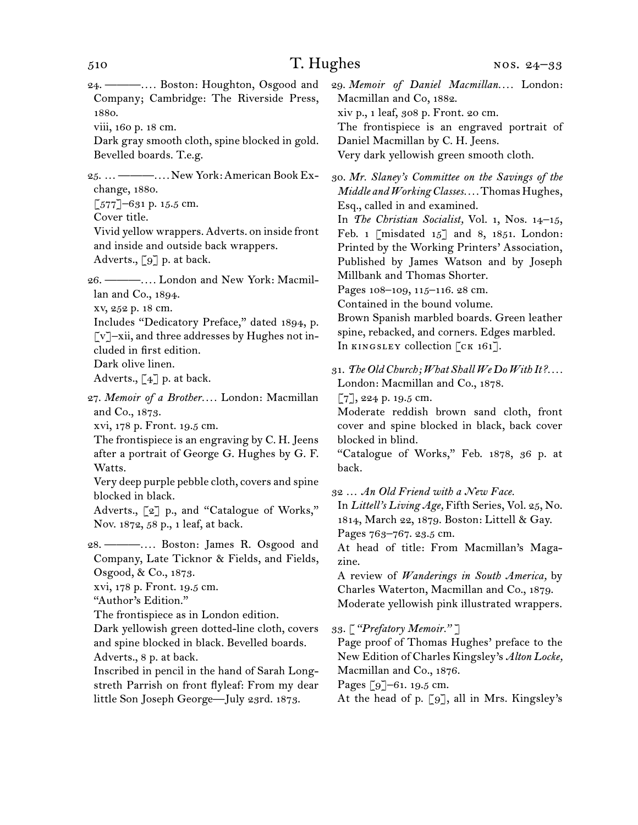24.  ———*. . . .* Boston: Houghton, Osgood and Company; Cambridge: The Riverside Press, 1880.

viii, 160 p. 18 cm.

Dark gray smooth cloth, spine blocked in gold. Bevelled boards. T.e.g.

25.  …———*. . . .* New York:American BookExchange, 1880.

 $\lceil 577 \rceil$ –631 p. 15.5 cm.

Cover title.

Vivid yellow wrappers. Adverts. on inside front and inside and outside back wrappers. Adverts., [9] p. at back.

26.  ———*. . . .* London and New York: Macmillan and Co., 1894.

xv, 252 p. 18 cm.

Includes "Dedicatory Preface," dated 1894, p. [v]–xii, and three addresses by Hughes not included in first edition.

Dark olive linen.

Adverts.,  $\lceil 4 \rceil$  p. at back.

27.  *Memoir of a Brother. . . .* London: Macmillan and Co., 1873.

xvi, 178 p. Front. 19.5 cm.

The frontispiece is an engraving by C. H. Jeens after a portrait of George G. Hughes by G. F. Watts.

Very deep purple pebble cloth, covers and spine blocked in black.

Adverts., [2] p., and "Catalogue of Works," Nov. 1872, 58 p., 1 leaf, at back.

28.  ———*. . . .* Boston: James R. Osgood and Company, Late Ticknor & Fields, and Fields, Osgood, & Co., 1873.

xvi, 178 p. Front. 19.5 cm.

"Author's Edition."

The frontispiece as in London edition.

Dark yellowish green dotted-line cloth, covers and spine blocked in black. Bevelled boards. Adverts., 8 p. at back.

Inscribed in pencil in the hand of Sarah Longstreth Parrish on front flyleaf: From my dear little Son Joseph George—July 23rd. 1873.

29.  *Memoir of Daniel Macmillan. . . .* London: Macmillan and Co, 1882. xiv p., 1 leaf, 308 p. Front. 20 cm. The frontispiece is an engraved portrait of Daniel Macmillan by C. H. Jeens. Very dark yellowish green smooth cloth.

30.  *Mr. Slaney's Committee on the Savings of the Middle and Working Classes....* Thomas Hughes, Esq., called in and examined.

In *The Christian Socialist,* Vol. 1, Nos. 14–15, Feb. 1 [misdated  $15$ ] and 8, 1851. London: Printed by the Working Printers' Association, Published by James Watson and by Joseph Millbank and Thomas Shorter.

Pages 108-109, 115-116. 28 cm.

Contained in the bound volume.

Brown Spanish marbled boards. Green leather spine, rebacked, and corners. Edges marbled. In KINGSLEY collection [CK 161].

31. The Old Church; What Shall We Do With It?.... London: Macmillan and Co., 1878.

 $[7]$ , 224 p. 19.5 cm.

Moderate reddish brown sand cloth, front cover and spine blocked in black, back cover blocked in blind.

"Catalogue of Works," Feb. 1878, 36 p. at back.

32  … *An Old Friend with a New Face.*

In *Littell's Living Age,* Fifth Series, Vol. 25, No. 1814, March 22, 1879. Boston: Littell & Gay. Pages 763–767. 23.5 cm.

At head of title: From Macmillan's Magazine.

A review of *Wanderings in South America,* by Charles Waterton, Macmillan and Co., 1879. Moderate yellowish pink illustrated wrappers.

33.  *["Prefatory Memoir." ]*

Page proof of Thomas Hughes' preface to the New Edition of Charles Kingsley's *Alton Locke,*  Macmillan and Co., 1876.

Pages [9]–61. 19.5 cm.

At the head of p. [9], all in Mrs. Kingsley's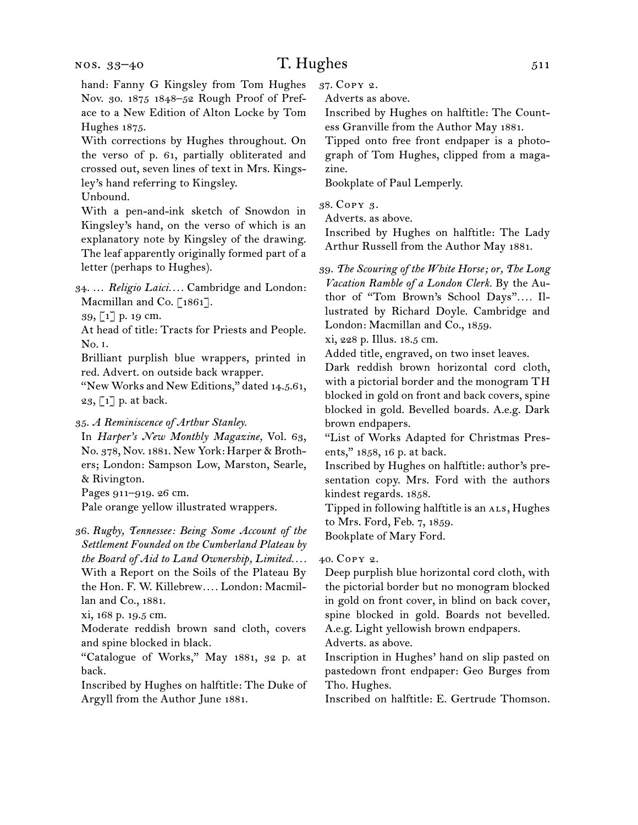#### nos. 33–40

## T. Hughes 511

hand: Fanny G Kingsley from Tom Hughes Nov. 30. 1875 1848–52 Rough Proof of Preface to a New Edition of Alton Locke by Tom Hughes 1875.

With corrections by Hughes throughout. On the verso of p. 61, partially obliterated and crossed out, seven lines of text in Mrs. Kingsley's hand referring to Kingsley.

Unbound.

With a pen-and-ink sketch of Snowdon in Kingsley's hand, on the verso of which is an explanatory note by Kingsley of the drawing. The leaf apparently originally formed part of a letter (perhaps to Hughes).

34.  … *Religio Laici. . . .* Cambridge and London: Macmillan and Co.  $[1861]$ .

39, [1] p. 19 cm.

At head of title: Tracts for Priests and People. No. i.

Brilliant purplish blue wrappers, printed in red. Advert. on outside back wrapper.

"New Works and New Editions," dated 14.5.61, 23,  $\lceil 1 \rceil$  p. at back.

35.  *A Reminiscence of Arthur Stanley.*

In *Harper's New Monthly Magazine,* Vol. 63, No. 378, Nov. 1881. New York: Harper & Brothers; London: Sampson Low, Marston, Searle, & Rivington.

Pages 911–919. 26 cm.

Pale orange yellow illustrated wrappers.

36.  *Rugby, Tennessee: Being Some Account of the Settlement Founded on the Cumberland Plateau by the Board of Aid to Land Ownership, Limited. . . .* With a Report on the Soils of the Plateau By the Hon. F. W. Killebrew*. . . .* London: Macmillan and Co., 1881.

xi, 168 p. 19.5 cm.

Moderate reddish brown sand cloth, covers and spine blocked in black.

"Catalogue of Works," May 1881, 32 p. at back.

Inscribed by Hughes on halftitle: The Duke of Argyll from the Author June 1881.

37.  Copy 2.

Adverts as above.

Inscribed by Hughes on halftitle: The Countess Granville from the Author May 1881.

Tipped onto free front endpaper is a photograph of Tom Hughes, clipped from a magazine.

Bookplate of Paul Lemperly.

38.  Copy 3.

Adverts. as above.

Inscribed by Hughes on halftitle: The Lady Arthur Russell from the Author May 1881.

39.  *The Scouring of the White Horse; or, The Long Vacation Ramble of a London Clerk.* By the Author of "Tom Brown's School Days".... Illustrated by Richard Doyle. Cambridge and London: Macmillan and Co., 1859.

xi, 228 p. Illus. 18.5 cm.

Added title, engraved, on two inset leaves.

Dark reddish brown horizontal cord cloth, with a pictorial border and the monogram TH blocked in gold on front and back covers, spine blocked in gold. Bevelled boards. A.e.g. Dark brown endpapers.

"List of Works Adapted for Christmas Presents," 1858, 16 p. at back.

Inscribed by Hughes on halftitle: author's presentation copy. Mrs. Ford with the authors kindest regards. 1858.

Tipped in following halftitle is an ALS, Hughes to Mrs. Ford, Feb. 7, 1859.

Bookplate of Mary Ford.

40.  Copy 2.

Deep purplish blue horizontal cord cloth, with the pictorial border but no monogram blocked in gold on front cover, in blind on back cover, spine blocked in gold. Boards not bevelled. A.e.g. Light yellowish brown endpapers.

Adverts. as above.

Inscription in Hughes' hand on slip pasted on pastedown front endpaper: Geo Burges from Tho. Hughes.

Inscribed on halftitle: E. Gertrude Thomson.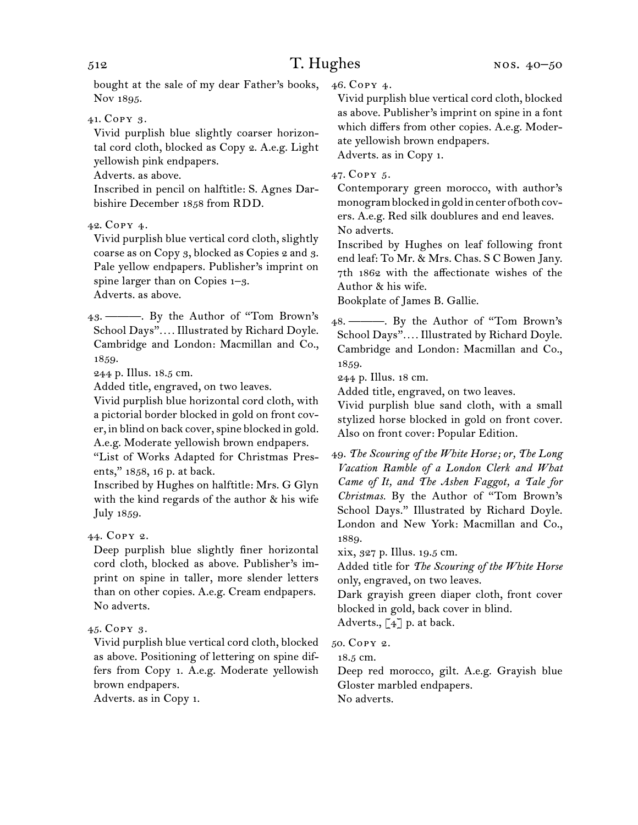bought at the sale of my dear Father's books, Nov 1895.

41.  Copy 3.

Vivid purplish blue slightly coarser horizontal cord cloth, blocked as Copy 2. A.e.g. Light yellowish pink endpapers.

Adverts. as above.

Inscribed in pencil on halftitle: S. Agnes Darbishire December 1858 from RDD.

42.  Copy 4.

Vivid purplish blue vertical cord cloth, slightly coarse as on Copy 3, blocked as Copies 2 and 3. Pale yellow endpapers. Publisher's imprint on spine larger than on Copies 1–3. Adverts. as above.

43.  ———. By the Author of "Tom Brown's School Days"*. . . .* Illustrated by Richard Doyle. Cambridge and London: Macmillan and Co., 1859.

244 p. Illus. 18.5 cm.

Added title, engraved, on two leaves.

Vivid purplish blue horizontal cord cloth, with a pictorial border blocked in gold on front cover, in blind on back cover,spine blocked in gold. A.e.g. Moderate yellowish brown endpapers.

"List of Works Adapted for Christmas Presents," 1858, 16 p. at back.

Inscribed by Hughes on halftitle: Mrs. G Glyn with the kind regards of the author & his wife July 1859.

44.  Copy 2.

Deep purplish blue slightly finer horizontal cord cloth, blocked as above. Publisher's imprint on spine in taller, more slender letters than on other copies. A.e.g. Cream endpapers. No adverts.

### 45.  Copy 3.

Vivid purplish blue vertical cord cloth, blocked as above. Positioning of lettering on spine differs from Copy 1. A.e.g. Moderate yellowish brown endpapers.

Adverts. as in Copy 1.

46.  Copy 4.

Vivid purplish blue vertical cord cloth, blocked as above. Publisher's imprint on spine in a font which differs from other copies. A.e.g. Moderate yellowish brown endpapers. Adverts. as in Copy 1.

47.  Copy 5.

Contemporary green morocco, with author's monogram blocked in gold in center of both covers. A.e.g. Red silk doublures and end leaves. No adverts.

Inscribed by Hughes on leaf following front end leaf: To Mr. & Mrs. Chas. S C Bowen Jany. 7th 1862 with the affectionate wishes of the Author & his wife.

Bookplate of James B. Gallie.

48.  ———. By the Author of "Tom Brown's School Days"*. . . .* Illustrated by Richard Doyle. Cambridge and London: Macmillan and Co., 1859.

244 p. Illus. 18 cm.

Added title, engraved, on two leaves.

Vivid purplish blue sand cloth, with a small stylized horse blocked in gold on front cover. Also on front cover: Popular Edition.

xix, 327 p. Illus. 19.5 cm.

Added title for *The Scouring of the White Horse*  only, engraved, on two leaves.

Dark grayish green diaper cloth, front cover blocked in gold, back cover in blind.

Adverts.,  $\lceil 4 \rceil$  p. at back.

50.  Copy 2.

18.5 cm.

Deep red morocco, gilt. A.e.g. Grayish blue Gloster marbled endpapers. No adverts.

<sup>49.</sup>*The Scouring of the White Horse; or, The Long Vacation Ramble of a London Clerk and What Came of It, and The Ashen Faggot, a Tale for Christmas.* By the Author of "Tom Brown's School Days." Illustrated by Richard Doyle. London and New York: Macmillan and Co., 1889.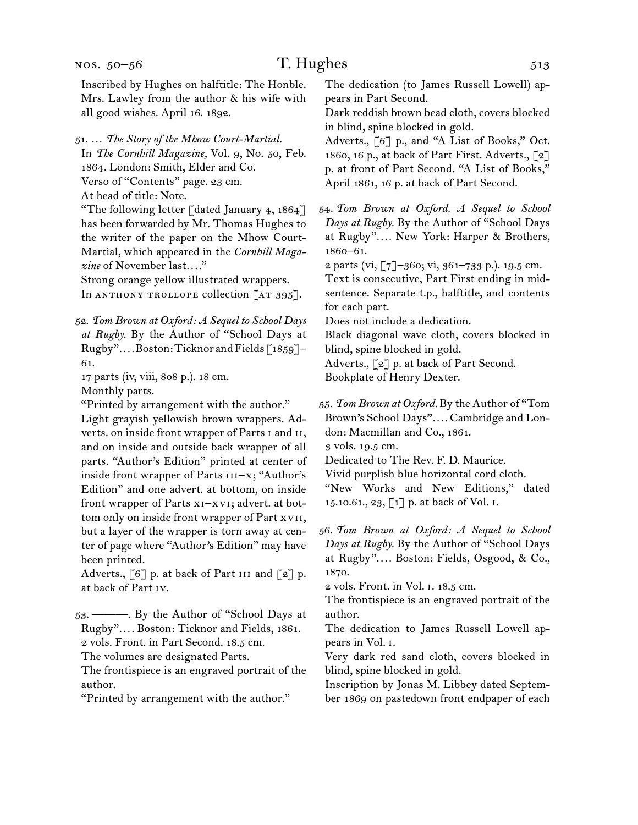#### nos. 50–56

# T. Hughes 513

Inscribed by Hughes on halftitle: The Honble. Mrs. Lawley from the author & his wife with all good wishes. April 16. 1892.

51.  … *The Story of the Mhow Court-Martial.*

In *The Cornhill Magazine,* Vol. 9, No. 50, Feb. 1864. London: Smith, Elder and Co.

Verso of "Contents" page. 23 cm.

At head of title: Note.

"The following letter [dated January 4, 1864] has been forwarded by Mr. Thomas Hughes to the writer of the paper on the Mhow Court-Martial, which appeared in the *Cornhill Magazine* of November last*. . . .*"

Strong orange yellow illustrated wrappers. In ANTHONY TROLLOPE collection  $[AT 395]$ .

52.  *Tom Brown at Oxford: A Sequel to School Days at Rugby.* By the Author of "School Days at Rugby"....Boston:Ticknor and Fields [1859]-61.

17 parts (iv, viii, 808 p.). 18 cm.

Monthly parts.

"Printed by arrangement with the author." Light grayish yellowish brown wrappers. Adverts. on inside front wrapper of Parts i and ii, and on inside and outside back wrapper of all parts. "Author's Edition" printed at center of inside front wrapper of Parts III-x; "Author's Edition" and one advert. at bottom, on inside front wrapper of Parts xi–xvi; advert. at bottom only on inside front wrapper of Part xvii, but a layer of the wrapper is torn away at center of page where "Author's Edition" may have been printed.

Adverts.,  $\lceil 6 \rceil$  p. at back of Part III and  $\lceil 2 \rceil$  p. at back of Part iv.

53.  ———. By the Author of "School Days at Rugby"*. . . .* Boston: Ticknor and Fields, 1861.

2 vols. Front. in Part Second. 18.5 cm.

The volumes are designated Parts.

The frontispiece is an engraved portrait of the author.

"Printed by arrangement with the author."

The dedication (to James Russell Lowell) appears in Part Second.

Dark reddish brown bead cloth, covers blocked in blind, spine blocked in gold.

Adverts., [6] p., and "A List of Books," Oct. 1860, 16 p., at back of Part First. Adverts., [2] p. at front of Part Second. "A List of Books," April 1861, 16 p. at back of Part Second.

54.  *Tom Brown at Oxford. A Sequel to School Days at Rugby.* By the Author of "School Days at Rugby"*. . . .* New York: Harper & Brothers, 1860–61.

2 parts (vi, [7]–360; vi, 361–733 p.). 19.5 cm.

Text is consecutive, Part First ending in midsentence. Separate t.p., halftitle, and contents for each part.

Does not include a dedication.

Black diagonal wave cloth, covers blocked in blind, spine blocked in gold.

Adverts., [2] p. at back of Part Second.

Bookplate of Henry Dexter.

55.  *Tom Brown at Oxford.* By the Author of "Tom Brown's School Days"*. . . .* Cambridge and London: Macmillan and Co., 1861.

3 vols. 19.5 cm.

Dedicated to The Rev. F. D. Maurice.

Vivid purplish blue horizontal cord cloth.

"New Works and New Editions," dated 15.10.61., 23, [1] p. at back of Vol. i.

56.  *Tom Brown at Oxford: A Sequel to School Days at Rugby.* By the Author of "School Days at Rugby"*. . . .* Boston: Fields, Osgood, & Co., 1870.

2 vols. Front. in Vol. i. 18.5 cm.

The frontispiece is an engraved portrait of the author.

The dedication to James Russell Lowell appears in Vol. i.

Very dark red sand cloth, covers blocked in blind, spine blocked in gold.

Inscription by Jonas M. Libbey dated September 1869 on pastedown front endpaper of each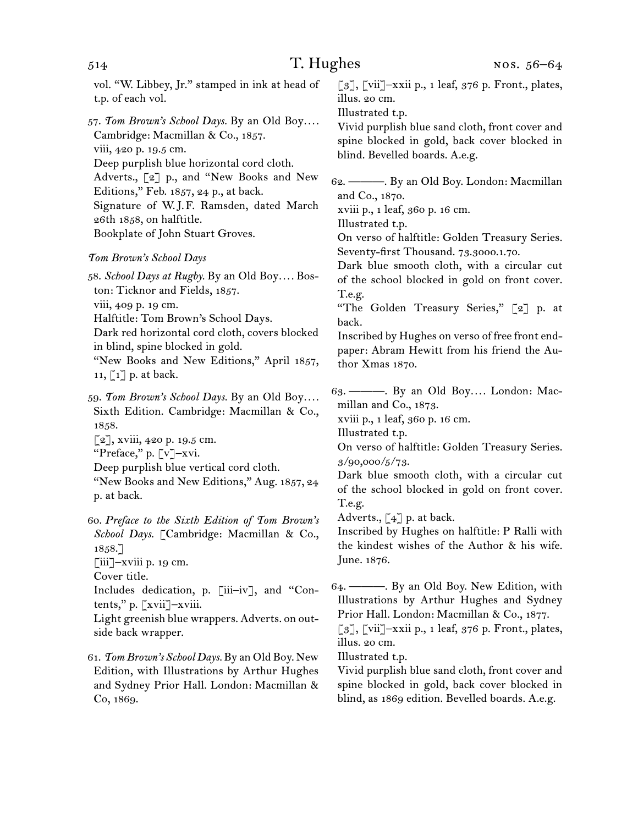| 514                                                                                                                                                                                                                                                                                                     | T. Hughes                                                             | NOS. $56-64$                                                                                                                                                                                                                                                 |
|---------------------------------------------------------------------------------------------------------------------------------------------------------------------------------------------------------------------------------------------------------------------------------------------------------|-----------------------------------------------------------------------|--------------------------------------------------------------------------------------------------------------------------------------------------------------------------------------------------------------------------------------------------------------|
| vol. "W. Libbey, Jr." stamped in ink at head of<br>t.p. of each vol.                                                                                                                                                                                                                                    | illus. 20 cm.                                                         | [3], [vii]-xxii p., 1 leaf, 376 p. Front., plates,                                                                                                                                                                                                           |
| 57. Tom Brown's School Days. By an Old Boy<br>Cambridge: Macmillan & Co., 1857.<br>viii, 420 p. 19.5 cm.<br>Deep purplish blue horizontal cord cloth.<br>Adverts., [2] p., and "New Books and New                                                                                                       | Illustrated t.p.                                                      | Vivid purplish blue sand cloth, front cover and<br>spine blocked in gold, back cover blocked in<br>blind. Bevelled boards. A.e.g.                                                                                                                            |
| Editions," Feb. 1857, 24 p., at back.<br>Signature of W.J.F. Ramsden, dated March<br>26th 1858, on halftitle.<br>Bookplate of John Stuart Groves.                                                                                                                                                       |                                                                       | 62. - By an Old Boy. London: Macmillan<br>and Co., 1870.<br>xviii p., 1 leaf, 360 p. 16 cm.<br>Illustrated t.p.<br>On verso of halftitle: Golden Treasury Series.                                                                                            |
| <b>Tom Brown's School Days</b>                                                                                                                                                                                                                                                                          |                                                                       | Seventy-first Thousand. 73.3000.1.70.                                                                                                                                                                                                                        |
| 58. School Days at Rugby. By an Old Boy Bos-<br>ton: Ticknor and Fields, 1857.<br>viii, 409 p. 19 cm.<br>Halftitle: Tom Brown's School Days.<br>Dark red horizontal cord cloth, covers blocked<br>in blind, spine blocked in gold.<br>"New Books and New Editions," April 1857,<br>$11, 1]$ p. at back. | T.e.g.<br>back.                                                       | Dark blue smooth cloth, with a circular cut<br>of the school blocked in gold on front cover.<br>"The Golden Treasury Series," [2] p. at<br>Inscribed by Hughes on verso of free front end-<br>paper: Abram Hewitt from his friend the Au-<br>thor Xmas 1870. |
| 59. Tom Brown's School Days. By an Old Boy<br>Sixth Edition. Cambridge: Macmillan & Co.,<br>1858.<br>[2], xviii, 420 p. 19.5 cm.<br>"Preface," p. [v]-xvi.<br>Deep purplish blue vertical cord cloth.<br>"New Books and New Editions," Aug. 1857, 24<br>p. at back.                                     | millan and Co., 1873.<br>Illustrated t.p.<br>3/90,000/5/73.<br>T.e.g. | 63. — By an Old Boy London: Mac-<br>xviii p., 1 leaf, 360 p. 16 cm.<br>On verso of halftitle: Golden Treasury Series.<br>Dark blue smooth cloth, with a circular cut<br>of the school blocked in gold on front cover.                                        |
| 60. Preface to the Sixth Edition of Tom Brown's<br>School Days. [Cambridge: Macmillan & Co.,<br>1858.<br>$\left[\text{iii}\right]$ -xviii p. 19 cm.                                                                                                                                                     | June. 1876.                                                           | Adverts., $\lbrack 4 \rbrack$ p. at back.<br>Inscribed by Hughes on halftitle: P Ralli with<br>the kindest wishes of the Author & his wife.                                                                                                                  |
| Cover title.<br>Includes dedication, p. [iii-iv], and "Con-<br>tents," p. $\left[\begin{matrix} x \text{vii} \end{matrix}\right]$ -xviii.                                                                                                                                                               |                                                                       | Illustrations by Arthur Hughes and Sydney                                                                                                                                                                                                                    |

Light greenish blue wrappers. Adverts. on outside back wrapper.

61.  *Tom Brown's School Days.* By an Old Boy. New Edition, with Illustrations by Arthur Hughes and Sydney Prior Hall. London: Macmillan & Co, 1869.

Illustrated t.p. Vivid purplish blue sand cloth, front cover and spine blocked in gold, back cover blocked in blind, as 1869 edition. Bevelled boards. A.e.g.

illus. 20 cm.

Prior Hall. London: Macmillan & Co., 1877. [3], [vii]–xxii p., 1 leaf, 376 p. Front., plates,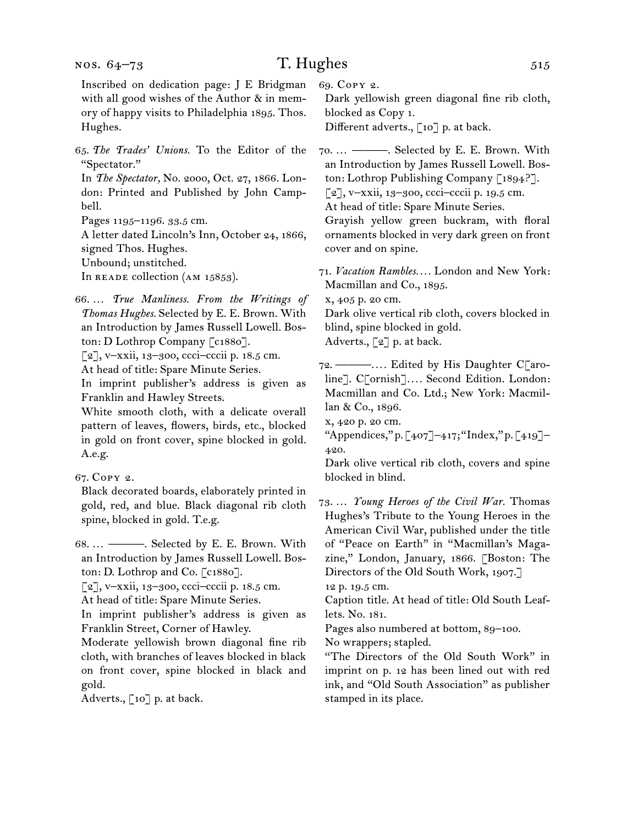Inscribed on dedication page: J E Bridgman with all good wishes of the Author & in memory of happy visits to Philadelphia 1895. Thos. Hughes.

65.  *The Trades' Unions.* To the Editor of the "Spectator."

In *The Spectator,* No. 2000, Oct. 27, 1866. London: Printed and Published by John Campbell.

Pages 1195–1196. 33.5 cm.

A letter dated Lincoln's Inn, October 24, 1866, signed Thos. Hughes.

Unbound; unstitched.

In READE collection (AM 15853).

- 66.  … *True Manliness. From the Writings of Thomas Hughes.* Selected by E. E. Brown. With an Introduction by James Russell Lowell. Boston: D Lothrop Company [c1880].
- [2], v–xxii, 13–300, ccci–cccii p. 18.5 cm.
- At head of title: Spare Minute Series.

In imprint publisher's address is given as Franklin and Hawley Streets.

White smooth cloth, with a delicate overall pattern of leaves, flowers, birds, etc., blocked in gold on front cover, spine blocked in gold. A.e.g.

Black decorated boards, elaborately printed in gold, red, and blue. Black diagonal rib cloth spine, blocked in gold. T.e.g.

68.  … ———. Selected by E. E. Brown. With an Introduction by James Russell Lowell. Boston: D. Lothrop and Co. [c1880].

[2], v–xxii, 13–300, ccci–cccii p. 18.5 cm.

At head of title: Spare Minute Series.

In imprint publisher's address is given as Franklin Street, Corner of Hawley.

Moderate yellowish brown diagonal fine rib cloth, with branches of leaves blocked in black on front cover, spine blocked in black and gold.

Adverts., [10] p. at back.

69.  Copy 2.

Dark yellowish green diagonal fine rib cloth, blocked as Copy 1. Different adverts., [10] p. at back.

70.  … ———. Selected by E. E. Brown. With an Introduction by James Russell Lowell. Boston: Lothrop Publishing Company [1894?].  $[2]$ , v-xxii, 13–300, ccci–cccii p. 19.5 cm.

At head of title: Spare Minute Series.

Grayish yellow green buckram, with floral ornaments blocked in very dark green on front cover and on spine.

71.  *Vacation Rambles. . . .* London and New York: Macmillan and Co., 1895.

x, 405 p. 20 cm.

Dark olive vertical rib cloth, covers blocked in blind, spine blocked in gold.

Adverts.,  $\lbrack 2 \rbrack$  p. at back.

72.  ———*. . . .* Edited by His Daughter C[aroline]. C[ornish]*. . . .* Second Edition. London: Macmillan and Co. Ltd.; New York: Macmillan & Co., 1896.

x, 420 p. 20 cm.

"Appendices," p.  $[407]$ –417; "Index," p.  $[419]$ – 420.

Dark olive vertical rib cloth, covers and spine blocked in blind.

73.  … *Young Heroes of the Civil War.* Thomas Hughes's Tribute to the Young Heroes in the American Civil War, published under the title of "Peace on Earth" in "Macmillan's Magazine," London, January, 1866. [Boston: The Directors of the Old South Work, 1907.] 12 p. 19.5 cm.

Caption title. At head of title: Old South Leaflets. No. 181.

Pages also numbered at bottom, 89–100.

No wrappers; stapled.

"The Directors of the Old South Work" in imprint on p. 12 has been lined out with red ink, and "Old South Association" as publisher stamped in its place.

<sup>67.</sup>Copy 2.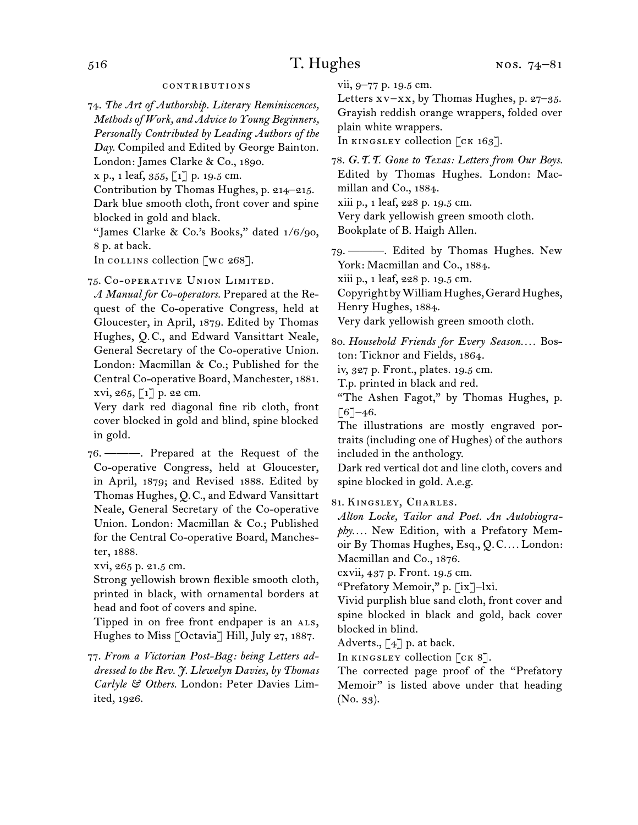#### contributions

74.  *The Art of Authorship. Literary Reminiscences, Methods of Work, and Advice to Young Beginners, Personally Contributed by Leading Authors of the Day.* Compiled and Edited by George Bainton.

London: James Clarke & Co., 1890.

x p., 1 leaf, 355, [1] p. 19.5 cm.

Contribution by Thomas Hughes, p. 214–215. Dark blue smooth cloth, front cover and spine blocked in gold and black.

"James Clarke & Co.'s Books," dated 1/6/90, 8 p. at back.

In collins collection  $\lceil wc 268 \rceil$ .

75.  Co-operative Union Limited.

*A Manual for Co-operators.* Prepared at the Request of the Co-operative Congress, held at Gloucester, in April, 1879. Edited by Thomas Hughes, Q. C., and Edward Vansittart Neale, General Secretary of the Co-operative Union. London: Macmillan & Co.; Published for the Central Co-operative Board, Manchester, 1881. xvi, 265,  $\lceil 1 \rceil$  p. 22 cm.

Very dark red diagonal fine rib cloth, front cover blocked in gold and blind, spine blocked in gold.

76.  ———. Prepared at the Request of the Co-operative Congress, held at Gloucester, in April, 1879; and Revised 1888. Edited by Thomas Hughes, Q. C., and Edward Vansittart Neale, General Secretary of the Co-operative Union. London: Macmillan & Co.; Published for the Central Co-operative Board, Manchester, 1888.

xvi, 265 p. 21.5 cm.

Strong yellowish brown flexible smooth cloth, printed in black, with ornamental borders at head and foot of covers and spine.

Tipped in on free front endpaper is an ALS, Hughes to Miss [Octavia] Hill, July 27, 1887.

77.  *From a Victorian Post-Bag: being Letters addressed to the Rev. J. Llewelyn Davies, by Thomas Carlyle & Others.* London: Peter Davies Limited, 1926.

vii, 9–77 p. 19.5 cm.

Letters xv–xx, by Thomas Hughes, p. 27–35. Grayish reddish orange wrappers, folded over plain white wrappers.

In KINGSLEY collection [CK 163].

78.  *G.T.T. Gone to Texas: Letters from Our Boys.* Edited by Thomas Hughes. London: Macmillan and Co., 1884.

xiii p., 1 leaf, 228 p. 19.5 cm.

Very dark yellowish green smooth cloth.

Bookplate of B. Haigh Allen.

79.  ———. Edited by Thomas Hughes. New York: Macmillan and Co., 1884.

xiii p., 1 leaf, 228 p. 19.5 cm.

CopyrightbyWilliamHughes,GerardHughes, Henry Hughes, 1884.

Very dark yellowish green smooth cloth.

80.  *Household Friends for Every Season. . . .* Boston: Ticknor and Fields, 1864.

iv, 327 p. Front., plates. 19.5 cm.

T.p. printed in black and red.

"The Ashen Fagot," by Thomas Hughes, p.  $[6]$ –46.

The illustrations are mostly engraved portraits (including one of Hughes) of the authors included in the anthology.

Dark red vertical dot and line cloth, covers and spine blocked in gold. A.e.g.

81.  Kingsley, Charles.

*Alton Locke, Tailor and Poet. An Autobiography. . . .* New Edition, with a Prefatory Memoir By Thomas Hughes, Esq., Q. C*. . . .* London: Macmillan and Co., 1876.

cxvii, 437 p. Front. 19.5 cm.

"Prefatory Memoir," p. [ix]–lxi.

Vivid purplish blue sand cloth, front cover and spine blocked in black and gold, back cover blocked in blind.

Adverts., [4] p. at back.

In KINGSLEY collection  $[\text{cK } 8]$ .

The corrected page proof of the "Prefatory Memoir" is listed above under that heading (No. 33).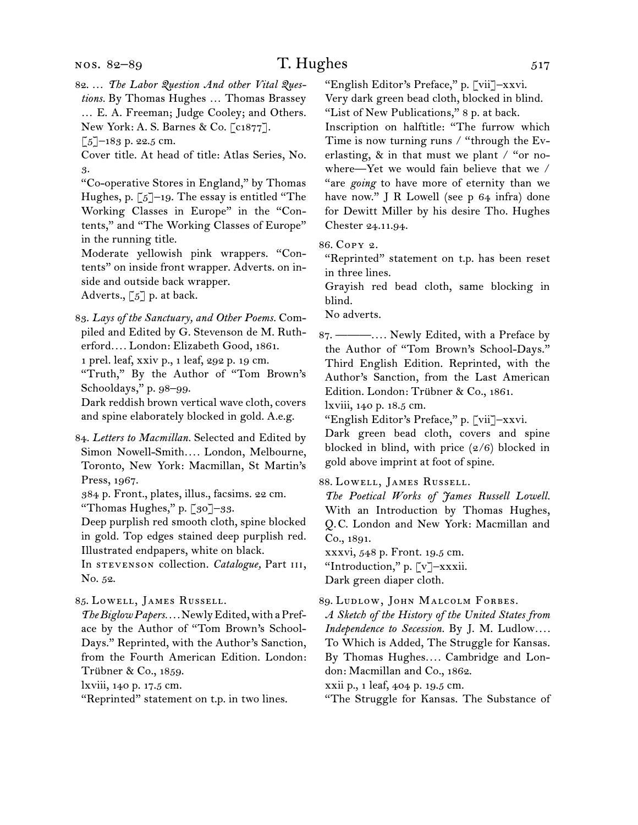New York: A. S. Barnes & Co. [c1877].

 $\left[\right.5\right]$ –183 p. 22.5 cm.

Cover title. At head of title: Atlas Series, No. 3.

"Co-operative Stores in England," by Thomas Hughes, p.  $\lceil 5 \rceil$ –19. The essay is entitled "The Working Classes in Europe" in the "Contents," and "The Working Classes of Europe" in the running title.

Moderate yellowish pink wrappers. "Contents" on inside front wrapper. Adverts. on inside and outside back wrapper.

Adverts.,  $\lbrack 5 \rbrack$  p. at back.

83.  *Lays of the Sanctuary, and Other Poems.* Compiled and Edited by G. Stevenson de M. Rutherford*. . . .* London: Elizabeth Good, 1861.

1 prel. leaf, xxiv p., 1 leaf, 292 p. 19 cm.

"Truth," By the Author of "Tom Brown's Schooldays," p. 98–99.

Dark reddish brown vertical wave cloth, covers and spine elaborately blocked in gold. A.e.g.

84.  *Letters to Macmillan.* Selected and Edited by Simon Nowell-Smith*. . . .* London, Melbourne, Toronto, New York: Macmillan, St Martin's Press, 1967.

384 p. Front., plates, illus., facsims. 22 cm. "Thomas Hughes," p. [30]–33.

Deep purplish red smooth cloth, spine blocked in gold. Top edges stained deep purplish red. Illustrated endpapers, white on black.

In **sTEVENSON** collection. *Catalogue*, Part III, No. 52.

85.  Lowell, James Russell.

The Biglow Papers.... Newly Edited, with a Preface by the Author of "Tom Brown's School-Days." Reprinted, with the Author's Sanction, from the Fourth American Edition. London: Trübner & Co., 1859.

lxviii, 140 p. 17.5 cm.

"Reprinted" statement on t.p. in two lines.

"English Editor's Preface," p. [vii]–xxvi.

Very dark green bead cloth, blocked in blind. "List of New Publications," 8 p. at back. Inscription on halftitle: "The furrow which Time is now turning runs / "through the Everlasting, & in that must we plant / "or nowhere—Yet we would fain believe that we / "are *going* to have more of eternity than we have now." J R Lowell (see p 64 infra) done for Dewitt Miller by his desire Tho. Hughes Chester 24.11.94.

86.  Copy 2.

"Reprinted" statement on t.p. has been reset in three lines.

Grayish red bead cloth, same blocking in blind.

No adverts.

87.  ———*. . . .* Newly Edited, with a Preface by the Author of "Tom Brown's School-Days." Third English Edition. Reprinted, with the Author's Sanction, from the Last American Edition. London: Trübner & Co., 1861.

lxviii, 140 p. 18.5 cm.

"English Editor's Preface," p. [vii]–xxvi.

Dark green bead cloth, covers and spine blocked in blind, with price  $(2/6)$  blocked in gold above imprint at foot of spine.

88.  Lowell, James Russell.

*The Poetical Works of James Russell Lowell.*  With an Introduction by Thomas Hughes, Q. C. London and New York: Macmillan and Co., 1891.

xxxvi, 548 p. Front. 19.5 cm.

"Introduction," p. [v]–xxxii.

Dark green diaper cloth.

89.  Ludlow, John Malcolm Forbes.

*A Sketch of the History of the United States from Independence to Secession.* By J. M. Ludlow*. . . .* To Which is Added, The Struggle for Kansas. By Thomas Hughes*. . . .* Cambridge and London: Macmillan and Co., 1862.

xxii p., 1 leaf, 404 p. 19.5 cm.

"The Struggle for Kansas. The Substance of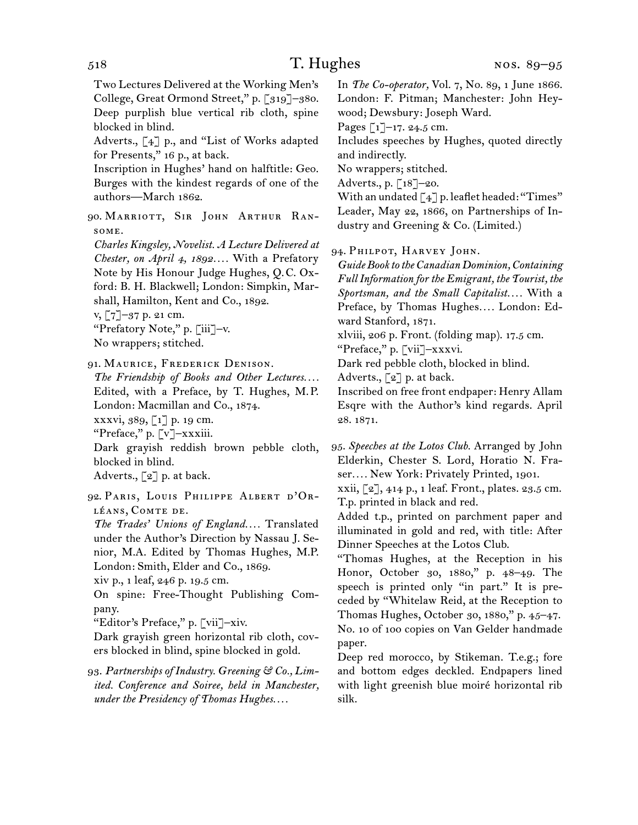Two Lectures Delivered at the Working Men's College, Great Ormond Street," p. [319]–380. Deep purplish blue vertical rib cloth, spine blocked in blind.

Adverts., [4] p., and "List of Works adapted for Presents," 16 p., at back.

Inscription in Hughes' hand on halftitle: Geo. Burges with the kindest regards of one of the authors—March 1862.

90.  Marriott, Sir John Arthur Ransome.

*Charles Kingsley, Novelist. A Lecture Delivered at Chester, on April 4, 1892. . . .* With a Prefatory Note by His Honour Judge Hughes, Q. C. Oxford: B. H. Blackwell; London: Simpkin, Marshall, Hamilton, Kent and Co., 1892.

v, [7]–37 p. 21 cm.

"Prefatory Note," p. [iii]–v. No wrappers; stitched.

91.  Maurice, Frederick Denison.

*The Friendship of Books and Other Lectures. . . .* Edited, with a Preface, by T. Hughes, M. P. London: Macmillan and Co., 1874. xxxvi, 389, [1] p. 19 cm.

"Preface," p. [v]–xxxiii.

Dark grayish reddish brown pebble cloth, blocked in blind.

Adverts., [2] p. at back.

92.  Paris, Louis Philippe Albert d'Or-LÉANS, COMTE DE.

*The Trades' Unions of England. . . .* Translated under the Author's Direction by Nassau J. Senior, M.A. Edited by Thomas Hughes, M.P. London: Smith, Elder and Co., 1869.

xiv p., 1 leaf, 246 p. 19.5 cm.

On spine: Free-Thought Publishing Company.

"Editor's Preface," p. [vii]–xiv.

Dark grayish green horizontal rib cloth, covers blocked in blind, spine blocked in gold.

93.  *Partnerships of Industry. Greening & Co., Limited. Conference and Soiree, held in Manchester, under the Presidency of Thomas Hughes. . . .*

In *The Co-operator,* Vol. 7, No. 89, 1 June 1866. London: F. Pitman; Manchester: John Heywood; Dewsbury: Joseph Ward.

Pages  $\lceil 1 \rceil$ –17. 24.5 cm.

Includes speeches by Hughes, quoted directly and indirectly.

No wrappers; stitched.

Adverts., p. [18]–20.

With an undated  $\lceil 4 \rceil$  p. leaflet headed: "Times" Leader, May 22, 1866, on Partnerships of Industry and Greening & Co. (Limited.)

94.  Philpot, Harvey John.

*Guide Book to the Canadian Dominion, Containing Full Information for the Emigrant, the Tourist, the Sportsman, and the Small Capitalist. . . .* With a Preface, by Thomas Hughes*. . . .* London: Edward Stanford, 1871.

xlviii, 206 p. Front. (folding map). 17.5 cm.

"Preface," p. [vii]–xxxvi.

Dark red pebble cloth, blocked in blind.

Adverts., [2] p. at back.

Inscribed on free front endpaper: Henry Allam Esqre with the Author's kind regards. April 28. 1871.

95.  *Speeches at the Lotos Club.* Arranged by John Elderkin, Chester S. Lord, Horatio N. Fraser*. . . .* New York: Privately Printed, 1901.

xxii, [2], 414 p., 1 leaf. Front., plates. 23.5 cm. T.p. printed in black and red.

Added t.p., printed on parchment paper and illuminated in gold and red, with title: After Dinner Speeches at the Lotos Club.

"Thomas Hughes, at the Reception in his Honor, October 30, 1880," p. 48–49. The speech is printed only "in part." It is preceded by "Whitelaw Reid, at the Reception to Thomas Hughes, October 30, 1880," p. 45–47. No. 10 of 100 copies on Van Gelder handmade paper.

Deep red morocco, by Stikeman. T.e.g.; fore and bottom edges deckled. Endpapers lined with light greenish blue moiré horizontal rib silk.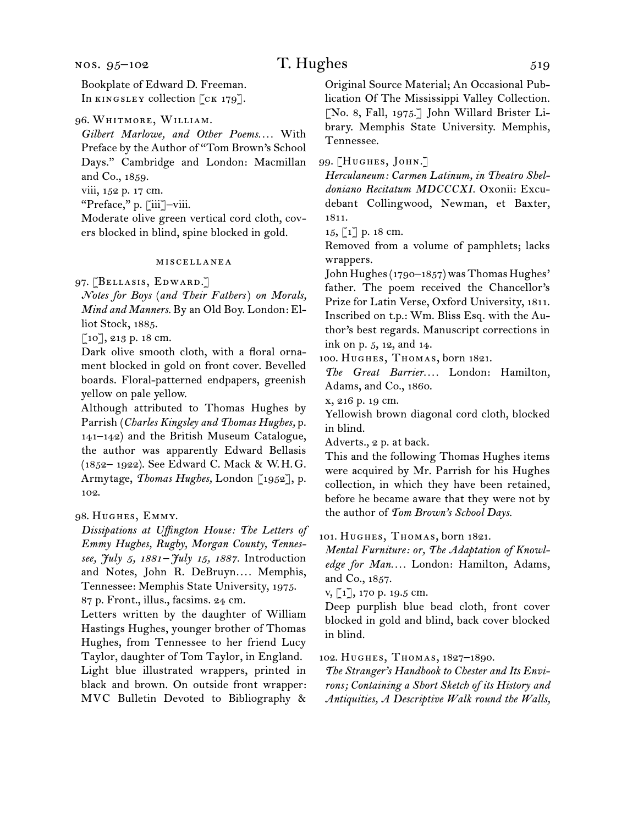Bookplate of Edward D. Freeman. In KINGSLEY collection [CK 179].

96.  Whitmore, William.

*Gilbert Marlowe, and Other Poems. . . .* With Preface by the Author of "Tom Brown's School Days." Cambridge and London: Macmillan and Co., 1859.

viii, 152 p. 17 cm.

"Preface," p. [iii]–viii.

Moderate olive green vertical cord cloth, covers blocked in blind, spine blocked in gold.

#### miscellanea

97.  [Bellasis, Edward.]

*Notes for Boys* (*and Their Fathers*) *on Morals, Mind and Manners.* By an Old Boy. London: Elliot Stock, 1885.

[10], 213 p. 18 cm.

Dark olive smooth cloth, with a floral ornament blocked in gold on front cover. Bevelled boards. Floral-patterned endpapers, greenish yellow on pale yellow.

Although attributed to Thomas Hughes by Parrish (*Charles Kingsley and Thomas Hughes,* p. 141–142) and the British Museum Catalogue, the author was apparently Edward Bellasis (1852– 1922). See Edward C. Mack & W. H. G. Armytage, *Thomas Hughes,* London [1952], p. 102.

98.  Hughes, Emmy.

*Dissipations at Uffington House: The Letters of Emmy Hughes, Rugby, Morgan County, Tennessee, July 5, 1881–July 15, 1887.* Introduction and Notes, John R. DeBruyn.... Memphis, Tennessee: Memphis State University, 1975. 87 p. Front., illus., facsims. 24 cm.

Letters written by the daughter of William Hastings Hughes, younger brother of Thomas Hughes, from Tennessee to her friend Lucy Taylor, daughter of Tom Taylor, in England. Light blue illustrated wrappers, printed in black and brown. On outside front wrapper: MVC Bulletin Devoted to Bibliography & Original Source Material; An Occasional Publication Of The Mississippi Valley Collection. [No. 8, Fall, 1975.] John Willard Brister Library. Memphis State University. Memphis, Tennessee.

99.  [Hughes, John.]

*Herculaneum: Carmen Latinum, in Theatro Sheldoniano Recitatum MDCCCXI.* Oxonii: Excudebant Collingwood, Newman, et Baxter, 1811.

15, [1] p. 18 cm.

Removed from a volume of pamphlets; lacks wrappers.

John Hughes (1790-1857) was Thomas Hughes' father. The poem received the Chancellor's Prize for Latin Verse, Oxford University, 1811. Inscribed on t.p.: Wm. Bliss Esq. with the Author's best regards. Manuscript corrections in ink on p. 5, 12, and 14.

100.  Hughes, Thomas, born 1821.

*The Great Barrier. . . .* London: Hamilton, Adams, and Co., 1860.

x, 216 p. 19 cm.

Yellowish brown diagonal cord cloth, blocked in blind.

Adverts., 2 p. at back.

This and the following Thomas Hughes items were acquired by Mr. Parrish for his Hughes collection, in which they have been retained, before he became aware that they were not by the author of *Tom Brown's School Days.*

101.  Hughes, Thomas, born 1821.

*Mental Furniture: or, The Adaptation of Knowledge for Man. . . .* London: Hamilton, Adams, and Co., 1857.

v, [1], 170 p. 19.5 cm.

Deep purplish blue bead cloth, front cover blocked in gold and blind, back cover blocked in blind.

102.  Hughes, Thomas, 1827–1890.

*The Stranger's Handbook to Chester and Its Environs; Containing a Short Sketch of its History and Antiquities, A Descriptive Walk round the Walls,*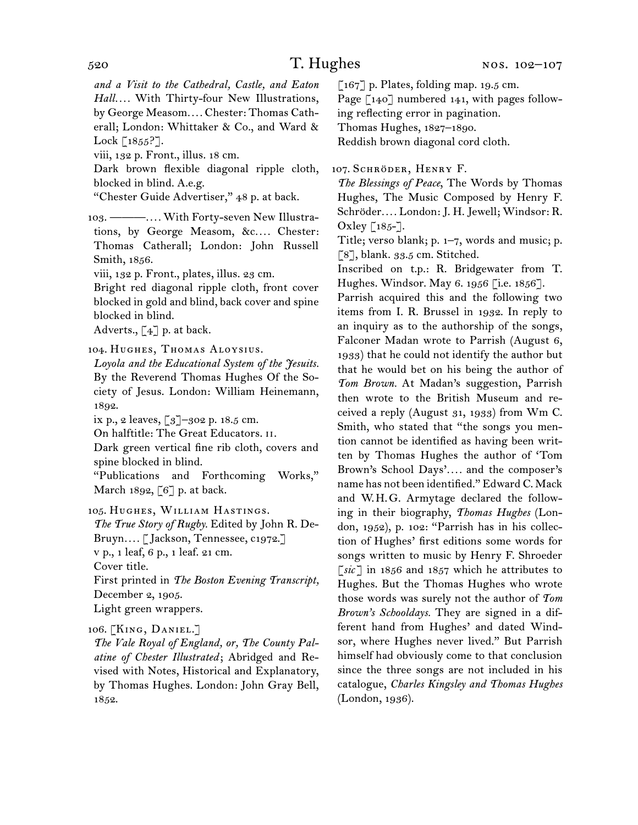*and a Visit to the Cathedral, Castle, and Eaton Hall. . . .* With Thirty-four New Illustrations, by George Measom*. . . .* Chester: Thomas Catherall; London: Whittaker & Co., and Ward & Lock  $\lceil 1855 \rceil$ .

viii, 132 p. Front., illus. 18 cm.

Dark brown flexible diagonal ripple cloth, blocked in blind. A.e.g.

"Chester Guide Advertiser," 48 p. at back.

103.  ———*. . . .* With Forty-seven New Illustrations, by George Measom, &c.... Chester: Thomas Catherall; London: John Russell Smith, 1856.

viii, 132 p. Front., plates, illus. 23 cm.

Bright red diagonal ripple cloth, front cover blocked in gold and blind, back cover and spine blocked in blind.

Adverts.,  $\lceil 4 \rceil$  p. at back.

104.  Hughes, Thomas Aloysius.

*Loyola and the Educational System of the Jesuits.* By the Reverend Thomas Hughes Of the Society of Jesus. London: William Heinemann, 1892.

ix p., 2 leaves,  $\lceil 3 \rceil$ –302 p. 18.5 cm.

On halftitle: The Great Educators. ii.

Dark green vertical fine rib cloth, covers and spine blocked in blind.

"Publications and Forthcoming Works," March 1892, [6] p. at back.

105.  Hughes, William Hastings.

*The True Story of Rugby.* Edited by John R. De-Bruyn*. . . .* [ Jackson, Tennessee, c1972.] v p., 1 leaf, 6 p., 1 leaf. 21 cm. Cover title.

First printed in *The Boston Evening Transcript,*  December 2, 1905.

Light green wrappers.

### 106.  [King, Daniel.]

*The Vale Royal of England, or, The County Palatine of Chester Illustrated* ; Abridged and Revised with Notes, Historical and Explanatory, by Thomas Hughes. London: John Gray Bell, 1852.

 $\lceil 167 \rceil$  p. Plates, folding map. 19.5 cm.

Page  $\lceil 140 \rceil$  numbered 141, with pages following reflecting error in pagination.

Thomas Hughes, 1827–1890.

Reddish brown diagonal cord cloth.

107. SCHRÖDER, HENRY F.

*The Blessings of Peace*, The Words by Thomas Hughes, The Music Composed by Henry F. Schröder*. . . .* London: J. H. Jewell; Windsor: R. Oxley  $\lceil 185 - \rceil$ .

Title; verso blank; p. 1–7, words and music; p. [8], blank. 33.5 cm. Stitched.

Inscribed on t.p.: R. Bridgewater from T. Hughes. Windsor. May 6. 1956 [i.e. 1856].

Parrish acquired this and the following two items from I. R. Brussel in 1932. In reply to an inquiry as to the authorship of the songs, Falconer Madan wrote to Parrish (August 6, 1933) that he could not identify the author but that he would bet on his being the author of *Tom Brown.* At Madan's suggestion, Parrish then wrote to the British Museum and received a reply (August 31, 1933) from Wm C. Smith, who stated that "the songs you mention cannot be identified as having been written by Thomas Hughes the author of 'Tom Brown's School Days'*. . . .* and the composer's name has not been identified." Edward C. Mack and W. H. G. Armytage declared the following in their biography, *Thomas Hughes* (London, 1952), p. 102: "Parrish has in his collection of Hughes' first editions some words for songs written to music by Henry F. Shroeder [*sic* ] in 1856 and 1857 which he attributes to Hughes. But the Thomas Hughes who wrote those words was surely not the author of *Tom Brown's Schooldays.* They are signed in a different hand from Hughes' and dated Windsor, where Hughes never lived." But Parrish himself had obviously come to that conclusion since the three songs are not included in his catalogue, *Charles Kingsley and Thomas Hughes*  (London, 1936).